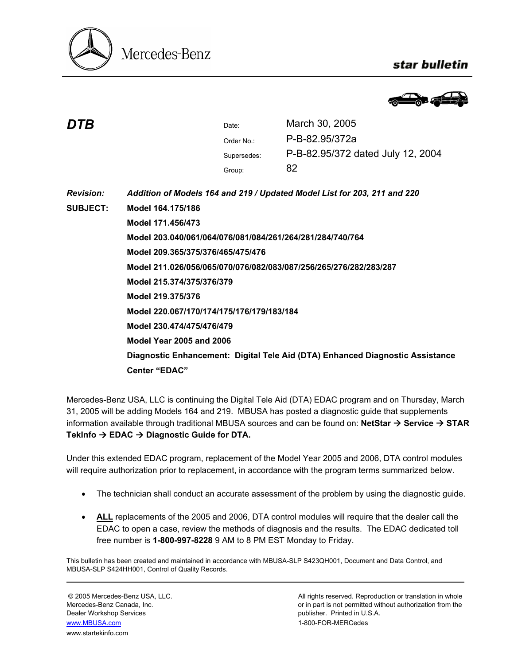

## star bulletin



| DTB              |                                                                               | Date:       | March 30, 2005                    |
|------------------|-------------------------------------------------------------------------------|-------------|-----------------------------------|
|                  |                                                                               | Order No.:  | P-B-82.95/372a                    |
|                  |                                                                               | Supersedes: | P-B-82.95/372 dated July 12, 2004 |
|                  |                                                                               | Group:      | 82                                |
| <b>Revision:</b> | Addition of Models 164 and 219 / Updated Model List for 203, 211 and 220      |             |                                   |
| <b>SUBJECT:</b>  | Model 164.175/186                                                             |             |                                   |
|                  | Model 171.456/473                                                             |             |                                   |
|                  | Model 203.040/061/064/076/081/084/261/264/281/284/740/764                     |             |                                   |
|                  | Model 209.365/375/376/465/475/476                                             |             |                                   |
|                  | Model 211.026/056/065/070/076/082/083/087/256/265/276/282/283/287             |             |                                   |
|                  | Model 215.374/375/376/379                                                     |             |                                   |
|                  | Model 219.375/376                                                             |             |                                   |
|                  | Model 220.067/170/174/175/176/179/183/184                                     |             |                                   |
|                  | Model 230.474/475/476/479                                                     |             |                                   |
|                  | <b>Model Year 2005 and 2006</b>                                               |             |                                   |
|                  | Diagnostic Enhancement: Digital Tele Aid (DTA) Enhanced Diagnostic Assistance |             |                                   |
|                  | <b>Center "EDAC"</b>                                                          |             |                                   |
|                  |                                                                               |             |                                   |

Mercedes-Benz USA, LLC is continuing the Digital Tele Aid (DTA) EDAC program and on Thursday, March 31, 2005 will be adding Models 164 and 219. MBUSA has posted a diagnostic guide that supplements information available through traditional MBUSA sources and can be found on: **NetStar → Service → STAR** TekInfo → EDAC → Diagnostic Guide for DTA.

Under this extended EDAC program, replacement of the Model Year 2005 and 2006, DTA control modules will require authorization prior to replacement, in accordance with the program terms summarized below.

- The technician shall conduct an accurate assessment of the problem by using the diagnostic guide.
- **ALL** replacements of the 2005 and 2006, DTA control modules will require that the dealer call the EDAC to open a case, review the methods of diagnosis and the results. The EDAC dedicated toll free number is **1-800-997-8228** 9 AM to 8 PM EST Monday to Friday.

This bulletin has been created and maintained in accordance with MBUSA-SLP S423QH001, Document and Data Control, and MBUSA-SLP S424HH001, Control of Quality Records.

Dealer Workshop Services publisher. Printed in U.S.A. www.MBUSA.com 1-800-FOR-MERCedes www.startekinfo.com

© 2005 Mercedes-Benz USA, LLC. All rights reserved. Reproduction or translation in whole Mercedes-Benz Canada, Inc. **or in part is not permitted without authorization from the** or in part is not permitted without authorization from the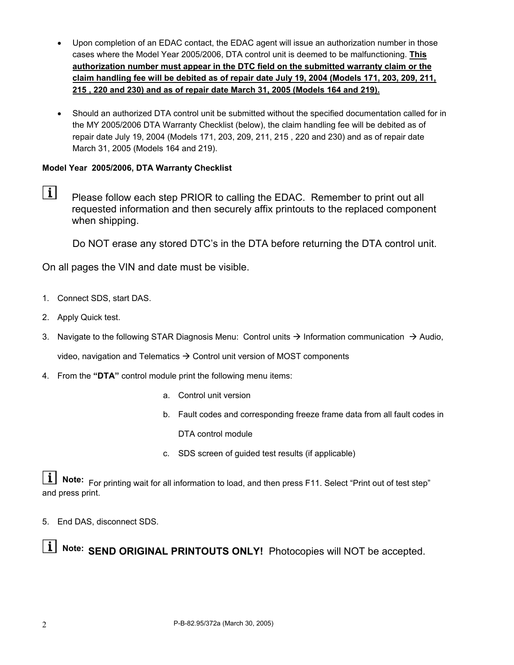- Upon completion of an EDAC contact, the EDAC agent will issue an authorization number in those cases where the Model Year 2005/2006, DTA control unit is deemed to be malfunctioning. **This authorization number must appear in the DTC field on the submitted warranty claim or the claim handling fee will be debited as of repair date July 19, 2004 (Models 171, 203, 209, 211, 215 , 220 and 230) and as of repair date March 31, 2005 (Models 164 and 219).**
- Should an authorized DTA control unit be submitted without the specified documentation called for in the MY 2005/2006 DTA Warranty Checklist (below), the claim handling fee will be debited as of repair date July 19, 2004 (Models 171, 203, 209, 211, 215 , 220 and 230) and as of repair date March 31, 2005 (Models 164 and 219).

## **Model Year 2005/2006, DTA Warranty Checklist**

 $\vert i \vert$ Please follow each step PRIOR to calling the EDAC. Remember to print out all requested information and then securely affix printouts to the replaced component when shipping.

Do NOT erase any stored DTC's in the DTA before returning the DTA control unit.

On all pages the VIN and date must be visible.

- 1. Connect SDS, start DAS.
- 2. Apply Quick test.
- 3. Navigate to the following STAR Diagnosis Menu: Control units  $\rightarrow$  Information communication  $\rightarrow$  Audio, video, navigation and Telematics  $\rightarrow$  Control unit version of MOST components
- 4. From the **"DTA"** control module print the following menu items:
	- a. Control unit version
	- b. Fault codes and corresponding freeze frame data from all fault codes in DTA control module
	- c. SDS screen of guided test results (if applicable)

**Note:** For printing wait for all information to load, and then press F11. Select "Print out of test step" and press print.

5. End DAS, disconnect SDS.

**Note: SEND ORIGINAL PRINTOUTS ONLY!** Photocopies will NOT be accepted.